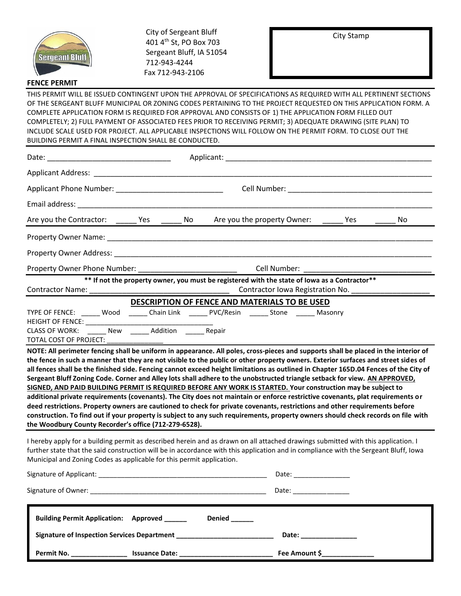

 City of Sergeant Bluff 401 4th St, PO Box 703 Sergeant Bluff, IA 51054 712-943-4244 Fax 712-943-2106

City Stamp

## **FENCE PERMIT**

THIS PERMIT WILL BE ISSUED CONTINGENT UPON THE APPROVAL OF SPECIFICATIONS AS REQUIRED WITH ALL PERTINENT SECTIONS OF THE SERGEANT BLUFF MUNICIPAL OR ZONING CODES PERTAINING TO THE PROJECT REQUESTED ON THIS APPLICATION FORM. A COMPLETE APPLICATION FORM IS REQUIRED FOR APPROVAL AND CONSISTS OF 1) THE APPLICATION FORM FILLED OUT COMPLETELY; 2) FULL PAYMENT OF ASSOCIATED FEES PRIOR TO RECEIVING PERMIT; 3) ADEQUATE DRAWING (SITE PLAN) TO INCLUDE SCALE USED FOR PROJECT. ALL APPLICABLE INSPECTIONS WILL FOLLOW ON THE PERMIT FORM. TO CLOSE OUT THE BUILDING PERMIT A FINAL INSPECTION SHALL BE CONDUCTED.

|                                                                                                                                                                            | Applicant: Applicant: Applicant: Applicant: Applicant: Applicant: Applicant: Applicant: Applicant: Applicant: Applicant: Applicant: Applicant: Applicant: Applicant: Applicant: Applicant: Applicant: Applicant: Applicant: Ap                                                                                                                                                                                                                                                                                                                                                                                                                                                                                                                                                                                                                                                                                                                                                                                                                                                                                                                                                                                          |
|----------------------------------------------------------------------------------------------------------------------------------------------------------------------------|-------------------------------------------------------------------------------------------------------------------------------------------------------------------------------------------------------------------------------------------------------------------------------------------------------------------------------------------------------------------------------------------------------------------------------------------------------------------------------------------------------------------------------------------------------------------------------------------------------------------------------------------------------------------------------------------------------------------------------------------------------------------------------------------------------------------------------------------------------------------------------------------------------------------------------------------------------------------------------------------------------------------------------------------------------------------------------------------------------------------------------------------------------------------------------------------------------------------------|
|                                                                                                                                                                            |                                                                                                                                                                                                                                                                                                                                                                                                                                                                                                                                                                                                                                                                                                                                                                                                                                                                                                                                                                                                                                                                                                                                                                                                                         |
|                                                                                                                                                                            |                                                                                                                                                                                                                                                                                                                                                                                                                                                                                                                                                                                                                                                                                                                                                                                                                                                                                                                                                                                                                                                                                                                                                                                                                         |
|                                                                                                                                                                            |                                                                                                                                                                                                                                                                                                                                                                                                                                                                                                                                                                                                                                                                                                                                                                                                                                                                                                                                                                                                                                                                                                                                                                                                                         |
|                                                                                                                                                                            | Are you the Contractor: ______ Yes ______ No Are you the property Owner:<br>Yes<br>No                                                                                                                                                                                                                                                                                                                                                                                                                                                                                                                                                                                                                                                                                                                                                                                                                                                                                                                                                                                                                                                                                                                                   |
|                                                                                                                                                                            |                                                                                                                                                                                                                                                                                                                                                                                                                                                                                                                                                                                                                                                                                                                                                                                                                                                                                                                                                                                                                                                                                                                                                                                                                         |
|                                                                                                                                                                            |                                                                                                                                                                                                                                                                                                                                                                                                                                                                                                                                                                                                                                                                                                                                                                                                                                                                                                                                                                                                                                                                                                                                                                                                                         |
|                                                                                                                                                                            |                                                                                                                                                                                                                                                                                                                                                                                                                                                                                                                                                                                                                                                                                                                                                                                                                                                                                                                                                                                                                                                                                                                                                                                                                         |
|                                                                                                                                                                            | ** If not the property owner, you must be registered with the state of lowa as a Contractor**<br>Contractor Iowa Registration No. _______________________                                                                                                                                                                                                                                                                                                                                                                                                                                                                                                                                                                                                                                                                                                                                                                                                                                                                                                                                                                                                                                                               |
| HEIGHT OF FENCE: ___________<br>CLASS OF WORK: ______ New ______ Addition ______ Repair<br>TOTAL COST OF PROJECT:<br>the Woodbury County Recorder's office (712-279-6528). | DESCRIPTION OF FENCE AND MATERIALS TO BE USED<br>TYPE OF FENCE: ______ Wood _______ Chain Link _______ PVC/Resin _______ Stone _______ Masonry<br>NOTE: All perimeter fencing shall be uniform in appearance. All poles, cross-pieces and supports shall be placed in the interior of<br>the fence in such a manner that they are not visible to the public or other property owners. Exterior surfaces and street sides of<br>all fences shall be the finished side. Fencing cannot exceed height limitations as outlined in Chapter 165D.04 Fences of the City of<br>Sergeant Bluff Zoning Code. Corner and Alley lots shall adhere to the unobstructed triangle setback for view. AN APPROVED,<br>SIGNED, AND PAID BUILDING PERMIT IS REQUIRED BEFORE ANY WORK IS STARTED. Your construction may be subject to<br>additional private requirements (covenants). The City does not maintain or enforce restrictive covenants, plat requirements or<br>deed restrictions. Property owners are cautioned to check for private covenants, restrictions and other requirements before<br>construction. To find out if your property is subject to any such requirements, property owners should check records on file with |
| Municipal and Zoning Codes as applicable for this permit application.                                                                                                      | I hereby apply for a building permit as described herein and as drawn on all attached drawings submitted with this application. I<br>further state that the said construction will be in accordance with this application and in compliance with the Sergeant Bluff, Iowa                                                                                                                                                                                                                                                                                                                                                                                                                                                                                                                                                                                                                                                                                                                                                                                                                                                                                                                                               |
|                                                                                                                                                                            |                                                                                                                                                                                                                                                                                                                                                                                                                                                                                                                                                                                                                                                                                                                                                                                                                                                                                                                                                                                                                                                                                                                                                                                                                         |
|                                                                                                                                                                            |                                                                                                                                                                                                                                                                                                                                                                                                                                                                                                                                                                                                                                                                                                                                                                                                                                                                                                                                                                                                                                                                                                                                                                                                                         |
| <b>Building Permit Application:</b> Approved ______                                                                                                                        | Denied                                                                                                                                                                                                                                                                                                                                                                                                                                                                                                                                                                                                                                                                                                                                                                                                                                                                                                                                                                                                                                                                                                                                                                                                                  |

|            | <b>Signature of Inspection Services Department</b> | Date:         |  |
|------------|----------------------------------------------------|---------------|--|
| Permit No. | <b>Issuance Date:</b>                              | Fee Amount \$ |  |